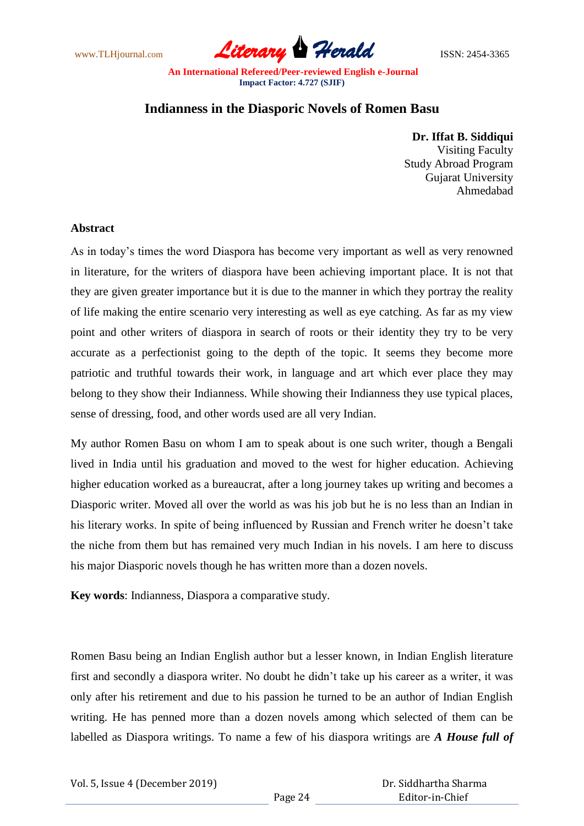www.TLHjournal.com **Literary Herald Herald** ISSN: 2454-3365

## **Indianness in the Diasporic Novels of Romen Basu**

**Dr. Iffat B. Siddiqui** Visiting Faculty Study Abroad Program Gujarat University Ahmedabad

## **Abstract**

As in today's times the word Diaspora has become very important as well as very renowned in literature, for the writers of diaspora have been achieving important place. It is not that they are given greater importance but it is due to the manner in which they portray the reality of life making the entire scenario very interesting as well as eye catching. As far as my view point and other writers of diaspora in search of roots or their identity they try to be very accurate as a perfectionist going to the depth of the topic. It seems they become more patriotic and truthful towards their work, in language and art which ever place they may belong to they show their Indianness. While showing their Indianness they use typical places, sense of dressing, food, and other words used are all very Indian.

My author Romen Basu on whom I am to speak about is one such writer, though a Bengali lived in India until his graduation and moved to the west for higher education. Achieving higher education worked as a bureaucrat, after a long journey takes up writing and becomes a Diasporic writer. Moved all over the world as was his job but he is no less than an Indian in his literary works. In spite of being influenced by Russian and French writer he doesn't take the niche from them but has remained very much Indian in his novels. I am here to discuss his major Diasporic novels though he has written more than a dozen novels.

**Key words**: Indianness, Diaspora a comparative study.

Romen Basu being an Indian English author but a lesser known, in Indian English literature first and secondly a diaspora writer. No doubt he didn't take up his career as a writer, it was only after his retirement and due to his passion he turned to be an author of Indian English writing. He has penned more than a dozen novels among which selected of them can be labelled as Diaspora writings. To name a few of his diaspora writings are *A House full of*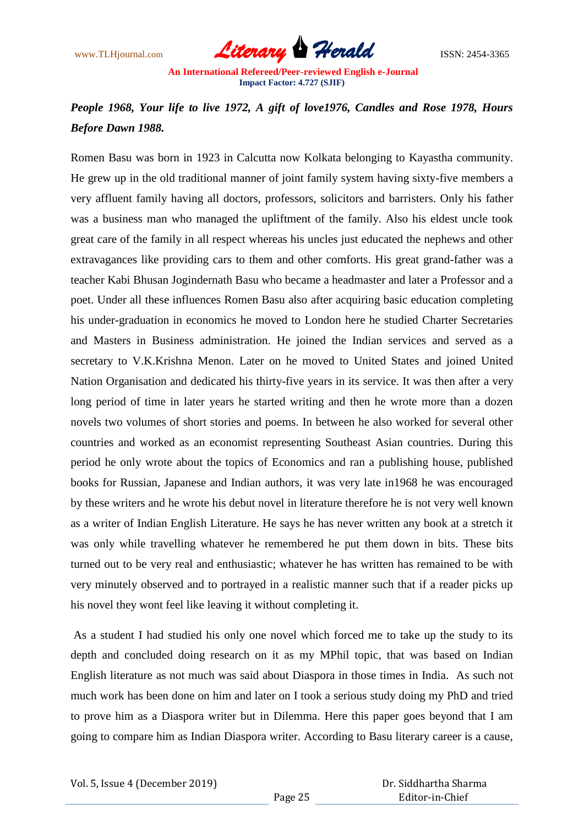

## *People 1968, Your life to live 1972, A gift of love1976, Candles and Rose 1978, Hours Before Dawn 1988.*

Romen Basu was born in 1923 in Calcutta now Kolkata belonging to Kayastha community. He grew up in the old traditional manner of joint family system having sixty-five members a very affluent family having all doctors, professors, solicitors and barristers. Only his father was a business man who managed the upliftment of the family. Also his eldest uncle took great care of the family in all respect whereas his uncles just educated the nephews and other extravagances like providing cars to them and other comforts. His great grand-father was a teacher Kabi Bhusan Jogindernath Basu who became a headmaster and later a Professor and a poet. Under all these influences Romen Basu also after acquiring basic education completing his under-graduation in economics he moved to London here he studied Charter Secretaries and Masters in Business administration. He joined the Indian services and served as a secretary to V.K.Krishna Menon. Later on he moved to United States and joined United Nation Organisation and dedicated his thirty-five years in its service. It was then after a very long period of time in later years he started writing and then he wrote more than a dozen novels two volumes of short stories and poems. In between he also worked for several other countries and worked as an economist representing Southeast Asian countries. During this period he only wrote about the topics of Economics and ran a publishing house, published books for Russian, Japanese and Indian authors, it was very late in1968 he was encouraged by these writers and he wrote his debut novel in literature therefore he is not very well known as a writer of Indian English Literature. He says he has never written any book at a stretch it was only while travelling whatever he remembered he put them down in bits. These bits turned out to be very real and enthusiastic; whatever he has written has remained to be with very minutely observed and to portrayed in a realistic manner such that if a reader picks up his novel they wont feel like leaving it without completing it.

As a student I had studied his only one novel which forced me to take up the study to its depth and concluded doing research on it as my MPhil topic, that was based on Indian English literature as not much was said about Diaspora in those times in India. As such not much work has been done on him and later on I took a serious study doing my PhD and tried to prove him as a Diaspora writer but in Dilemma. Here this paper goes beyond that I am going to compare him as Indian Diaspora writer. According to Basu literary career is a cause,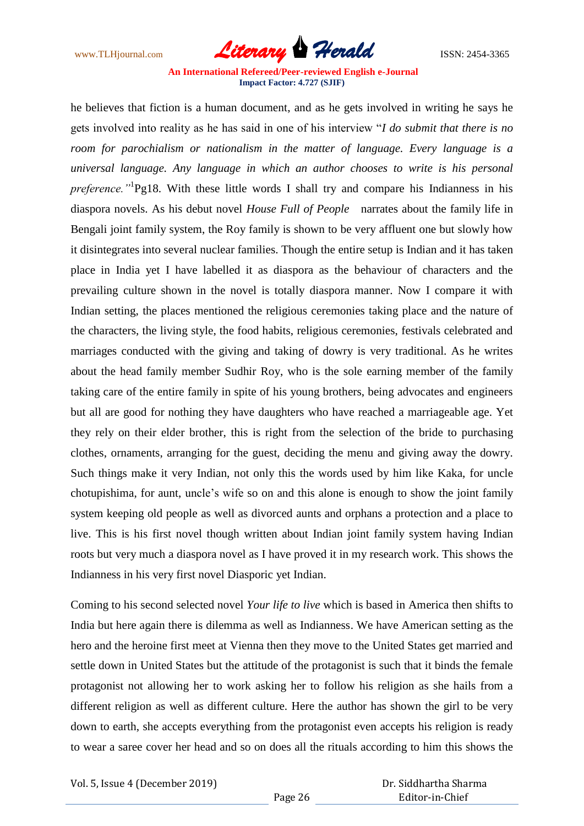www.TLHjournal.com **Literary Herald Herald** ISSN: 2454-3365

he believes that fiction is a human document, and as he gets involved in writing he says he gets involved into reality as he has said in one of his interview "*I do submit that there is no room for parochialism or nationalism in the matter of language. Every language is a universal language. Any language in which an author chooses to write is his personal preference."*<sup>1</sup> Pg18. With these little words I shall try and compare his Indianness in his diaspora novels. As his debut novel *House Full of People* narrates about the family life in Bengali joint family system, the Roy family is shown to be very affluent one but slowly how it disintegrates into several nuclear families. Though the entire setup is Indian and it has taken place in India yet I have labelled it as diaspora as the behaviour of characters and the prevailing culture shown in the novel is totally diaspora manner. Now I compare it with Indian setting, the places mentioned the religious ceremonies taking place and the nature of the characters, the living style, the food habits, religious ceremonies, festivals celebrated and marriages conducted with the giving and taking of dowry is very traditional. As he writes about the head family member Sudhir Roy, who is the sole earning member of the family taking care of the entire family in spite of his young brothers, being advocates and engineers but all are good for nothing they have daughters who have reached a marriageable age. Yet they rely on their elder brother, this is right from the selection of the bride to purchasing clothes, ornaments, arranging for the guest, deciding the menu and giving away the dowry. Such things make it very Indian, not only this the words used by him like Kaka, for uncle chotupishima, for aunt, uncle's wife so on and this alone is enough to show the joint family system keeping old people as well as divorced aunts and orphans a protection and a place to live. This is his first novel though written about Indian joint family system having Indian roots but very much a diaspora novel as I have proved it in my research work. This shows the Indianness in his very first novel Diasporic yet Indian.

Coming to his second selected novel *Your life to live* which is based in America then shifts to India but here again there is dilemma as well as Indianness. We have American setting as the hero and the heroine first meet at Vienna then they move to the United States get married and settle down in United States but the attitude of the protagonist is such that it binds the female protagonist not allowing her to work asking her to follow his religion as she hails from a different religion as well as different culture. Here the author has shown the girl to be very down to earth, she accepts everything from the protagonist even accepts his religion is ready to wear a saree cover her head and so on does all the rituals according to him this shows the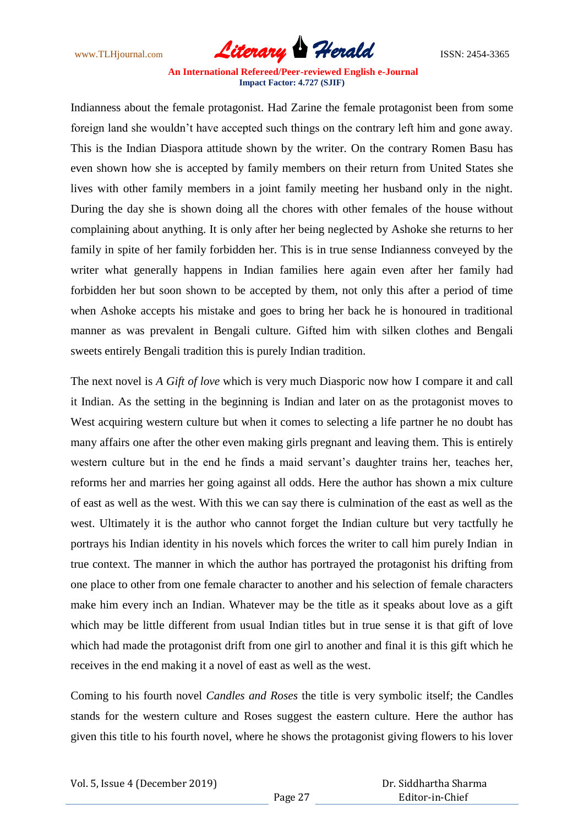www.TLHjournal.com **Literary Herald Herald** ISSN: 2454-3365

Indianness about the female protagonist. Had Zarine the female protagonist been from some foreign land she wouldn't have accepted such things on the contrary left him and gone away. This is the Indian Diaspora attitude shown by the writer. On the contrary Romen Basu has even shown how she is accepted by family members on their return from United States she lives with other family members in a joint family meeting her husband only in the night. During the day she is shown doing all the chores with other females of the house without complaining about anything. It is only after her being neglected by Ashoke she returns to her family in spite of her family forbidden her. This is in true sense Indianness conveyed by the writer what generally happens in Indian families here again even after her family had forbidden her but soon shown to be accepted by them, not only this after a period of time when Ashoke accepts his mistake and goes to bring her back he is honoured in traditional manner as was prevalent in Bengali culture. Gifted him with silken clothes and Bengali sweets entirely Bengali tradition this is purely Indian tradition.

The next novel is *A Gift of love* which is very much Diasporic now how I compare it and call it Indian. As the setting in the beginning is Indian and later on as the protagonist moves to West acquiring western culture but when it comes to selecting a life partner he no doubt has many affairs one after the other even making girls pregnant and leaving them. This is entirely western culture but in the end he finds a maid servant's daughter trains her, teaches her, reforms her and marries her going against all odds. Here the author has shown a mix culture of east as well as the west. With this we can say there is culmination of the east as well as the west. Ultimately it is the author who cannot forget the Indian culture but very tactfully he portrays his Indian identity in his novels which forces the writer to call him purely Indian in true context. The manner in which the author has portrayed the protagonist his drifting from one place to other from one female character to another and his selection of female characters make him every inch an Indian. Whatever may be the title as it speaks about love as a gift which may be little different from usual Indian titles but in true sense it is that gift of love which had made the protagonist drift from one girl to another and final it is this gift which he receives in the end making it a novel of east as well as the west.

Coming to his fourth novel *Candles and Roses* the title is very symbolic itself; the Candles stands for the western culture and Roses suggest the eastern culture. Here the author has given this title to his fourth novel, where he shows the protagonist giving flowers to his lover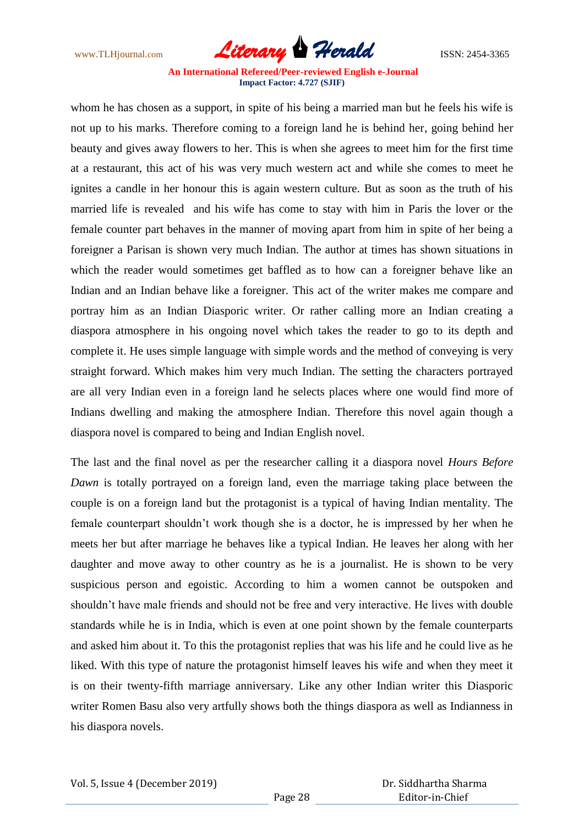www.TLHjournal.com **Literary Herald Herald** ISSN: 2454-3365

whom he has chosen as a support, in spite of his being a married man but he feels his wife is not up to his marks. Therefore coming to a foreign land he is behind her, going behind her beauty and gives away flowers to her. This is when she agrees to meet him for the first time at a restaurant, this act of his was very much western act and while she comes to meet he ignites a candle in her honour this is again western culture. But as soon as the truth of his married life is revealed and his wife has come to stay with him in Paris the lover or the female counter part behaves in the manner of moving apart from him in spite of her being a foreigner a Parisan is shown very much Indian. The author at times has shown situations in which the reader would sometimes get baffled as to how can a foreigner behave like an Indian and an Indian behave like a foreigner. This act of the writer makes me compare and portray him as an Indian Diasporic writer. Or rather calling more an Indian creating a diaspora atmosphere in his ongoing novel which takes the reader to go to its depth and complete it. He uses simple language with simple words and the method of conveying is very straight forward. Which makes him very much Indian. The setting the characters portrayed are all very Indian even in a foreign land he selects places where one would find more of Indians dwelling and making the atmosphere Indian. Therefore this novel again though a diaspora novel is compared to being and Indian English novel.

The last and the final novel as per the researcher calling it a diaspora novel *Hours Before Dawn* is totally portrayed on a foreign land, even the marriage taking place between the couple is on a foreign land but the protagonist is a typical of having Indian mentality. The female counterpart shouldn't work though she is a doctor, he is impressed by her when he meets her but after marriage he behaves like a typical Indian. He leaves her along with her daughter and move away to other country as he is a journalist. He is shown to be very suspicious person and egoistic. According to him a women cannot be outspoken and shouldn't have male friends and should not be free and very interactive. He lives with double standards while he is in India, which is even at one point shown by the female counterparts and asked him about it. To this the protagonist replies that was his life and he could live as he liked. With this type of nature the protagonist himself leaves his wife and when they meet it is on their twenty-fifth marriage anniversary. Like any other Indian writer this Diasporic writer Romen Basu also very artfully shows both the things diaspora as well as Indianness in his diaspora novels.